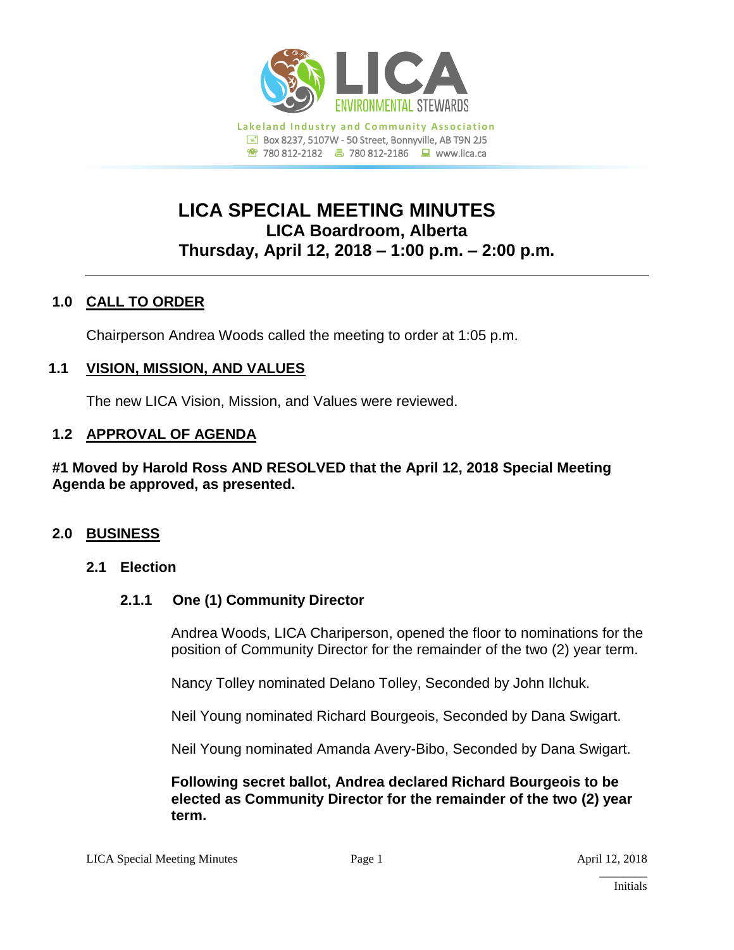

# **LICA SPECIAL MEETING MINUTES LICA Boardroom, Alberta Thursday, April 12, 2018 – 1:00 p.m. – 2:00 p.m.**

# **1.0 CALL TO ORDER**

Chairperson Andrea Woods called the meeting to order at 1:05 p.m.

## **1.1 VISION, MISSION, AND VALUES**

The new LICA Vision, Mission, and Values were reviewed.

## **1.2 APPROVAL OF AGENDA**

#### **#1 Moved by Harold Ross AND RESOLVED that the April 12, 2018 Special Meeting Agenda be approved, as presented.**

#### **2.0 BUSINESS**

#### **2.1 Election**

#### **2.1.1 One (1) Community Director**

Andrea Woods, LICA Chariperson, opened the floor to nominations for the position of Community Director for the remainder of the two (2) year term.

Nancy Tolley nominated Delano Tolley, Seconded by John Ilchuk.

Neil Young nominated Richard Bourgeois, Seconded by Dana Swigart.

Neil Young nominated Amanda Avery-Bibo, Seconded by Dana Swigart.

**Following secret ballot, Andrea declared Richard Bourgeois to be elected as Community Director for the remainder of the two (2) year term.**